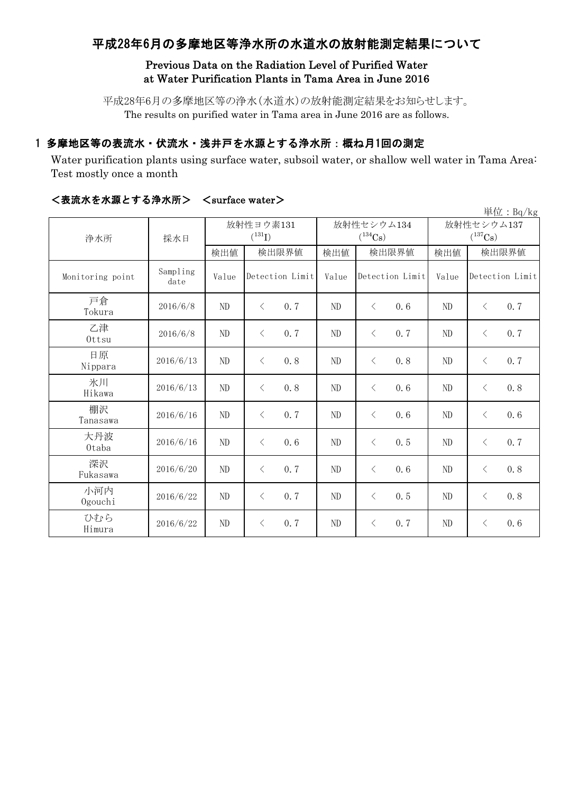# 平成28年6月の多摩地区等浄水所の水道水の放射能測定結果について

## Previous Data on the Radiation Level of Purified Water at Water Purification Plants in Tama Area in June 2016

平成28年6月の多摩地区等の浄水(水道水)の放射能測定結果をお知らせします。 The results on purified water in Tama area in June 2016 are as follows.

## 1 多摩地区等の表流水・伏流水・浅井戸を水源とする浄水所:概ね月1回の測定

Water purification plants using surface water, subsoil water, or shallow well water in Tama Area: Test mostly once a month

| 単位: $Bq/kg$      |                  |       |                   |       |                   |                       |                  |  |  |
|------------------|------------------|-------|-------------------|-------|-------------------|-----------------------|------------------|--|--|
| 浄水所              | 採水日              |       | 放射性ヨウ素131         |       | 放射性セシウム134        | 放射性セシウム137            |                  |  |  |
|                  |                  |       | $(^{131}I)$       |       | $(^{134}Cs)$      | $(^{137}\mathrm{Cs})$ |                  |  |  |
|                  |                  | 検出値   | 検出限界値             | 検出値   | 検出限界値             | 検出値                   | 検出限界値            |  |  |
| Monitoring point | Sampling<br>date | Value | Detection Limit   | Value | Detection Limit   | Value                 | Detection Limit  |  |  |
| 戸倉<br>Tokura     | 2016/6/8         | ND    | 0.7<br>$\langle$  | ND    | $\langle$<br>0, 6 | ND                    | 0.7<br>$\lt$     |  |  |
| 乙津<br>Ottsu      | 2016/6/8         | ND    | 0.7<br>$\langle$  | ND    | 0, 7<br>$\langle$ | N <sub>D</sub>        | 0.7<br>$\langle$ |  |  |
| 日原<br>Nippara    | 2016/6/13        | ND    | 0.8<br>$\langle$  | ND    | $\lt$<br>0.8      | N <sub>D</sub>        | 0.7<br>$\langle$ |  |  |
| 氷川<br>Hikawa     | 2016/6/13        | ND    | 0, 8<br>$\langle$ | ND    | $\langle$<br>0.6  | ND                    | 0.8<br>$\lt$     |  |  |
| 棚沢<br>Tanasawa   | 2016/6/16        | ND    | 0.7<br>$\lt$      | ND    | $\lt$<br>0.6      | ND                    | $\langle$<br>0.6 |  |  |
| 大丹波<br>0taba     | 2016/6/16        | ND    | 0, 6<br>$\langle$ | ND    | 0.5<br>$\langle$  | ND                    | 0.7<br>$\lt$     |  |  |
| 深沢<br>Fukasawa   | 2016/6/20        | ND    | 0.7<br>$\langle$  | ND    | $\langle$<br>0.6  | ND                    | 0.8<br>$\lt$     |  |  |
| 小河内<br>Ogouchi   | 2016/6/22        | ND    | 0.7<br>$\langle$  | ND    | $\langle$<br>0.5  | ND                    | 0.8<br>$\lt$     |  |  |
| ひむら<br>Himura    | 2016/6/22        | ND    | 0.7<br>$\lt$      | ND    | $\lt$<br>0.7      | ND                    | 0.6<br>$\langle$ |  |  |

## <表流水を水源とする浄水所> <surface water>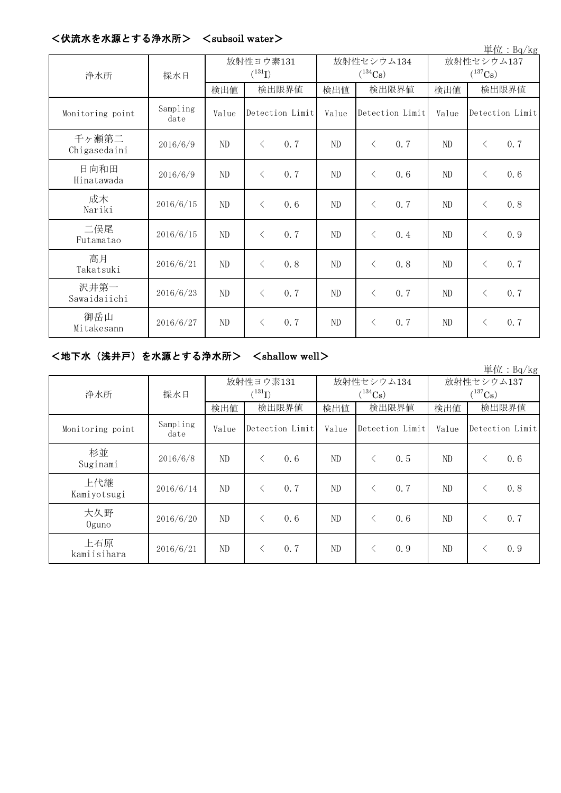| ヽレヽハルフィヽ ヒ フィァルヘ ヒ 冫 め /ナ フィフィノ / |                  |          |                          |       |                            |                            | 単位: Bq/kg        |  |
|-----------------------------------|------------------|----------|--------------------------|-------|----------------------------|----------------------------|------------------|--|
| 浄水所                               | 採水日              |          | 放射性ヨウ素131<br>$(^{131}I)$ |       | 放射性セシウム134<br>$(^{134}Cs)$ | 放射性セシウム137<br>$(^{137}Cs)$ |                  |  |
|                                   |                  | 検出値      | 検出限界値                    | 検出値   | 検出限界値                      | 検出値                        | 検出限界値            |  |
| Monitoring point                  | Sampling<br>date | Value    | Detection Limit          | Value | Detection Limit            | Value                      | Detection Limit  |  |
| 千ヶ瀬第二<br>Chigasedaini             | 2016/6/9         | ND       | 0.7<br>$\lt$             | ND    | $\langle$<br>0.7           | ND                         | 0.7<br>$\langle$ |  |
| 日向和田<br>Hinatawada                | 2016/6/9         | $\rm ND$ | 0.7<br>$\langle$         | ND    | 0.6<br>$\langle$           | ND                         | 0.6<br>$\lt$     |  |
| 成木<br>Nariki                      | 2016/6/15        | ND       | 0.6<br>$\lt$             | ND    | 0.7<br>$\langle$           | ND                         | 0.8<br>$\lt$     |  |
| 二俣尾<br>Futamatao                  | 2016/6/15        | ND       | 0.7<br>$\langle$         | ND    | $\langle$<br>0.4           | ND                         | 0.9<br>$\langle$ |  |
| 高月<br>Takatsuki                   | 2016/6/21        | ND       | 0.8<br>$\langle$         | ND    | 0.8<br>$\langle$           | ND                         | 0.7<br>$\lt$     |  |
| 沢井第一<br>Sawaidaiichi              | 2016/6/23        | ND       | 0.7<br>$\langle$         | ND    | 0.7<br>$\lt$               | ND                         | 0.7<br>$\lt$     |  |
| 御岳山<br>Mitakesann                 | 2016/6/27        | ND       | 0.7<br>$\langle$         | ND    | 0.7<br>$\lt$               | ND                         | 0.7<br>$\langle$ |  |

## <伏流水を水源とする浄水所> <subsoil water>

### <地下水(浅井戸)を水源とする浄水所> <shallow well>

|                    |                  |       |                  |       |                 |              | 単位: $Bq/kg$       |  |
|--------------------|------------------|-------|------------------|-------|-----------------|--------------|-------------------|--|
|                    | 採水日              |       | 放射性ヨウ素131        |       | 放射性セシウム134      | 放射性セシウム137   |                   |  |
| 浄水所                |                  |       | $(^{131}I)$      |       | $(^{134}Cs)$    | $(^{137}Cs)$ |                   |  |
|                    |                  | 検出値   | 検出限界値            | 検出値   | 検出限界値           | 検出値          | 検出限界値             |  |
| Monitoring point   | Sampling<br>date | Value | Detection Limit  | Value | Detection Limit | Value        | Detection Limit   |  |
| 杉並<br>Suginami     | 2016/6/8         | ND    | 0.6<br>$\langle$ | ND    | 0.5<br>⟨        | ND           | 0.6<br>$\langle$  |  |
| 上代継<br>Kamiyotsugi | 2016/6/14        | ND    | 0.7<br>$\langle$ | ND.   | 0, 7<br>ぐ       | ND           | 0, 8<br>$\langle$ |  |
| 大久野<br>$0$ guno    | 2016/6/20        | ND    | 0.6<br>$\lt$     | ND.   | 0.6<br>⟨        | ND           | 0, 7<br>$\langle$ |  |
| 上石原<br>kamiisihara | 2016/6/21        | ND    | 0.7<br>$\langle$ | ND    | 0.9<br>ぐ        | ND           | 0.9<br>⟨          |  |